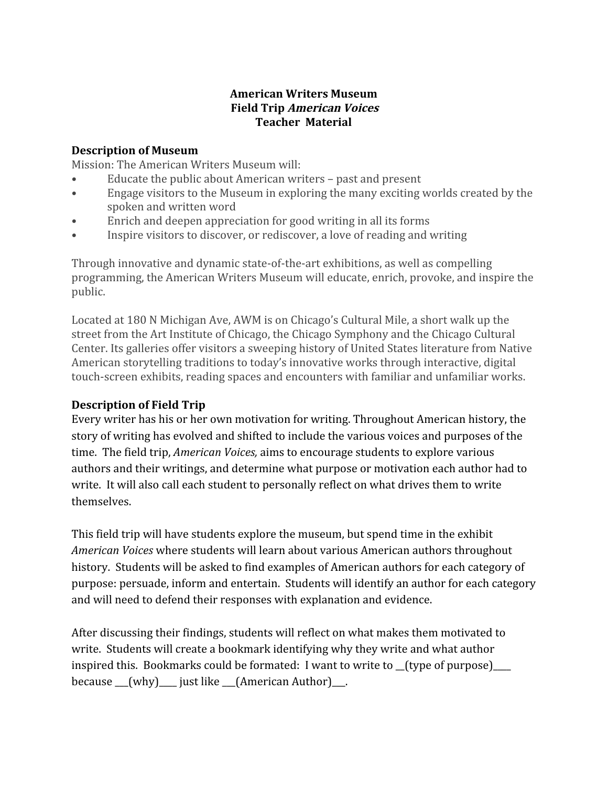### **American Writers Museum Field Trip American Voices Teacher Material**

### **Description of Museum**

Mission: The American Writers Museum will:

- Educate the public about American writers past and present
- Engage visitors to the Museum in exploring the many exciting worlds created by the spoken and written word
- Enrich and deepen appreciation for good writing in all its forms
- Inspire visitors to discover, or rediscover, a love of reading and writing

Through innovative and dynamic state-of-the-art exhibitions, as well as compelling programming, the American Writers Museum will educate, enrich, provoke, and inspire the public.

Located at 180 N Michigan Ave, AWM is on Chicago's Cultural Mile, a short walk up the street from the Art Institute of Chicago, the Chicago Symphony and the Chicago Cultural Center. Its galleries offer visitors a sweeping history of United States literature from Native American storytelling traditions to today's innovative works through interactive, digital touch-screen exhibits, reading spaces and encounters with familiar and unfamiliar works.

## **Description of Field Trip**

Every writer has his or her own motivation for writing. Throughout American history, the story of writing has evolved and shifted to include the various voices and purposes of the time. The field trip, *American Voices,* aims to encourage students to explore various authors and their writings, and determine what purpose or motivation each author had to write. It will also call each student to personally reflect on what drives them to write themselves.

This field trip will have students explore the museum, but spend time in the exhibit *American Voices* where students will learn about various American authors throughout history. Students will be asked to find examples of American authors for each category of purpose: persuade, inform and entertain. Students will identify an author for each category and will need to defend their responses with explanation and evidence.

After discussing their findings, students will reflect on what makes them motivated to write. Students will create a bookmark identifying why they write and what author inspired this. Bookmarks could be formated: I want to write to \_\_(type of purpose)\_\_\_\_ because \_\_\_(why)\_\_\_\_ just like \_\_\_(American Author)\_\_\_.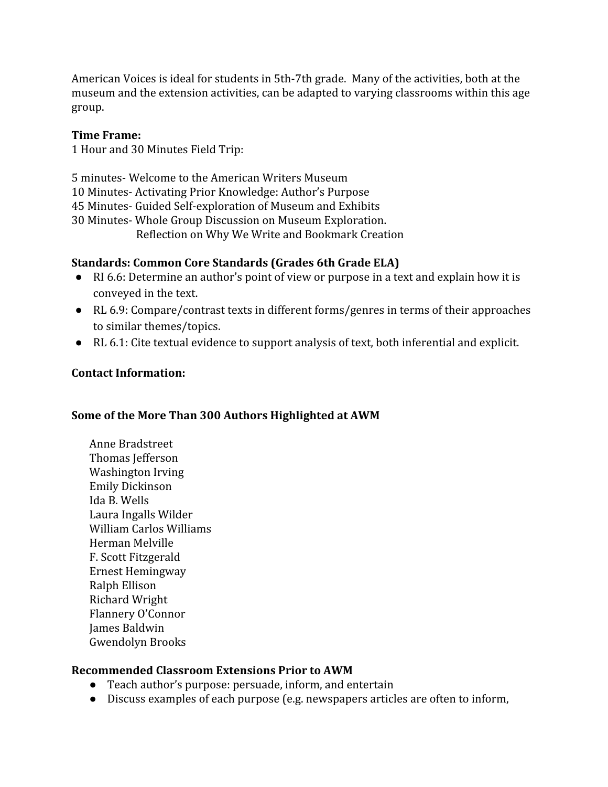American Voices is ideal for students in 5th-7th grade. Many of the activities, both at the museum and the extension activities, can be adapted to varying classrooms within this age group.

#### **Time Frame:**

1 Hour and 30 Minutes Field Trip:

 minutes- Welcome to the American Writers Museum Minutes- Activating Prior Knowledge: Author's Purpose Minutes- Guided Self-exploration of Museum and Exhibits Minutes- Whole Group Discussion on Museum Exploration. Reflection on Why We Write and Bookmark Creation

### **Standards: Common Core Standards (Grades 6th Grade ELA)**

- RI 6.6: Determine an author's point of view or purpose in a text and explain how it is conveyed in the text.
- RL 6.9: Compare/contrast texts in different forms/genres in terms of their approaches to similar themes/topics.
- RL 6.1: Cite textual evidence to support analysis of text, both inferential and explicit.

### **Contact Information:**

## **Some of the More Than 300 Authors Highlighted at AWM**

Anne Bradstreet Thomas Jefferson Washington Irving Emily Dickinson Ida B. Wells Laura Ingalls Wilder William Carlos Williams Herman Melville F. Scott Fitzgerald Ernest Hemingway Ralph Ellison Richard Wright Flannery O'Connor James Baldwin Gwendolyn Brooks

### **Recommended Classroom Extensions Prior to AWM**

- Teach author's purpose: persuade, inform, and entertain
- Discuss examples of each purpose (e.g. newspapers articles are often to inform,